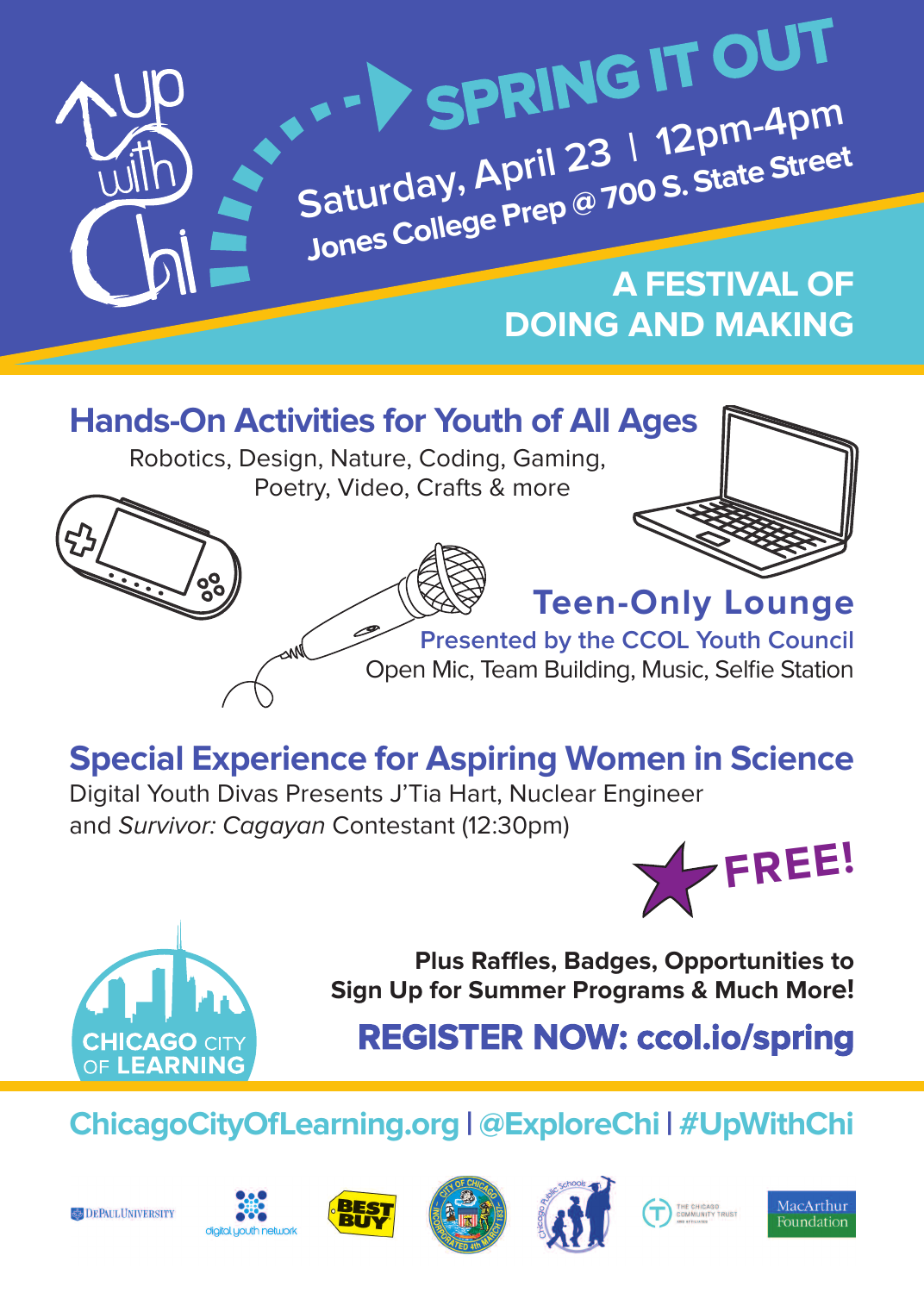

### **Hands-on Activities for Youth of All Ages**

Robotics, Design, Nature, Coding, Gaming, Poetry, Video, Crafts & more





# **special Experience for Aspiring Women in science**

Digital Youth Divas Presents J'Tia Hart, Nuclear Engineer and Survivor: Cagayan Contestant (12:30pm)





**Plus Raffles, Badges, opportunities to sign Up for summer Programs & Much More!**

**REGISTER NOW: [ccol.io/spring](http://ccol.io/spring)**

## **ChicagoCityoflearning.org | @ExploreChi | #UpWithChi**